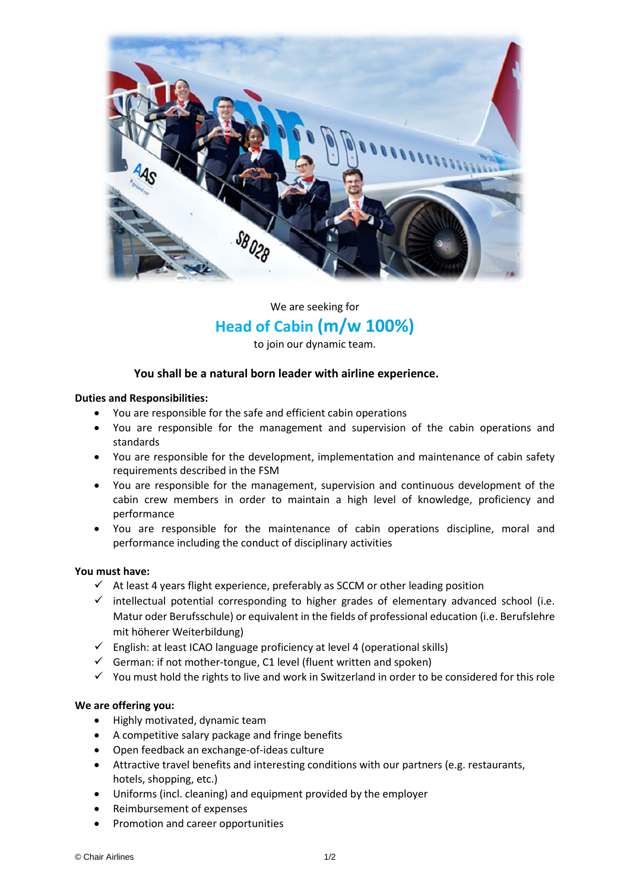

We are seeking for

## **Head of Cabin (m/w 100%)**

to join our dynamic team.

### **You shall be a natural born leader with airline experience.**

#### **Duties and Responsibilities:**

- You are responsible for the safe and efficient cabin operations
- You are responsible for the management and supervision of the cabin operations and standards
- You are responsible for the development, implementation and maintenance of cabin safety requirements described in the FSM
- You are responsible for the management, supervision and continuous development of the cabin crew members in order to maintain a high level of knowledge, proficiency and performance
- You are responsible for the maintenance of cabin operations discipline, moral and performance including the conduct of disciplinary activities

### **You must have:**

- $\checkmark$  At least 4 years flight experience, preferably as SCCM or other leading position
- $\checkmark$  intellectual potential corresponding to higher grades of elementary advanced school (i.e. Matur oder Berufsschule) or equivalent in the fields of professional education (i.e. Berufslehre mit höherer Weiterbildung)
- $\checkmark$  English: at least ICAO language proficiency at level 4 (operational skills)
- $\checkmark$  German: if not mother-tongue, C1 level (fluent written and spoken)
- ✓ You must hold the rights to live and work in Switzerland in order to be considered for this role

#### **We are offering you:**

- Highly motivated, dynamic team
- A competitive salary package and fringe benefits
- Open feedback an exchange-of-ideas culture
- Attractive travel benefits and interesting conditions with our partners (e.g. restaurants, hotels, shopping, etc.)
- Uniforms (incl. cleaning) and equipment provided by the employer
- Reimbursement of expenses
- Promotion and career opportunities